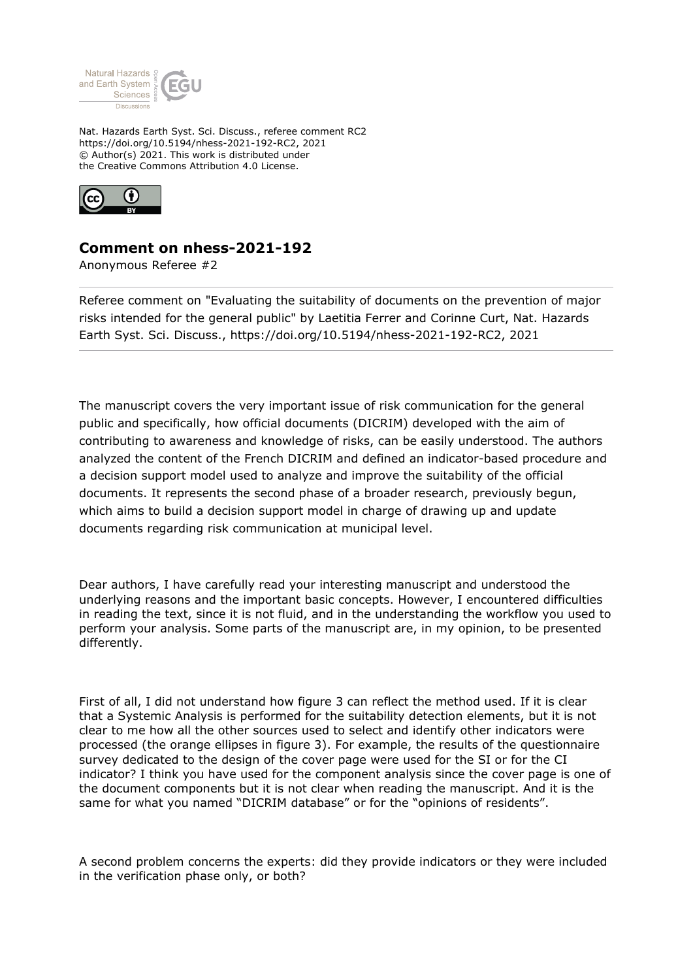

Nat. Hazards Earth Syst. Sci. Discuss., referee comment RC2 https://doi.org/10.5194/nhess-2021-192-RC2, 2021 © Author(s) 2021. This work is distributed under the Creative Commons Attribution 4.0 License.



## **Comment on nhess-2021-192**

Anonymous Referee #2

Referee comment on "Evaluating the suitability of documents on the prevention of major risks intended for the general public" by Laetitia Ferrer and Corinne Curt, Nat. Hazards Earth Syst. Sci. Discuss., https://doi.org/10.5194/nhess-2021-192-RC2, 2021

The manuscript covers the very important issue of risk communication for the general public and specifically, how official documents (DICRIM) developed with the aim of contributing to awareness and knowledge of risks, can be easily understood. The authors analyzed the content of the French DICRIM and defined an indicator-based procedure and a decision support model used to analyze and improve the suitability of the official documents. It represents the second phase of a broader research, previously begun, which aims to build a decision support model in charge of drawing up and update documents regarding risk communication at municipal level.

Dear authors, I have carefully read your interesting manuscript and understood the underlying reasons and the important basic concepts. However, I encountered difficulties in reading the text, since it is not fluid, and in the understanding the workflow you used to perform your analysis. Some parts of the manuscript are, in my opinion, to be presented differently.

First of all, I did not understand how figure 3 can reflect the method used. If it is clear that a Systemic Analysis is performed for the suitability detection elements, but it is not clear to me how all the other sources used to select and identify other indicators were processed (the orange ellipses in figure 3). For example, the results of the questionnaire survey dedicated to the design of the cover page were used for the SI or for the CI indicator? I think you have used for the component analysis since the cover page is one of the document components but it is not clear when reading the manuscript. And it is the same for what you named "DICRIM database" or for the "opinions of residents".

A second problem concerns the experts: did they provide indicators or they were included in the verification phase only, or both?